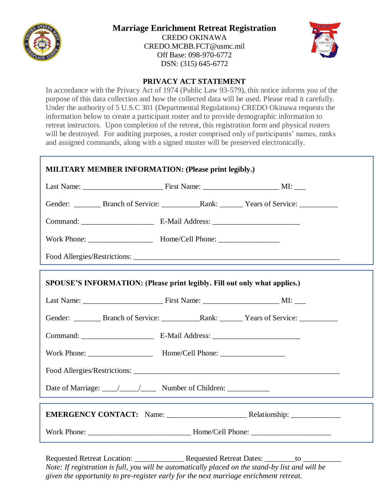

## **Marriage Enrichment Retreat Registration**

CREDO OKINAWA [CREDO.MCBB.FCT@usmc.mil](mailto:CREDO.MCBB.FCT@usmc.mil) Off Base: 098-970-6772 DSN: (315) 645-6772



## **PRIVACY ACT STATEMENT**

In accordance with the Privacy Act of 1974 (Public Law 93-579), this notice informs you of the purpose of this data collection and how the collected data will be used. Please read it carefully. Under the authority of 5 U.S.C 301 (Departmental Regulations) CREDO Okinawa requests the information below to create a participant roster and to provide demographic information to retreat instructors. Upon completion of the retreat, this registration form and physical rosters will be destroyed. For auditing purposes, a roster comprised only of participants' names, ranks and assigned commands, along with a signed muster will be preserved electronically.

| <b>MILITARY MEMBER INFORMATION: (Please print legibly.)</b>               |  |  |  |  |  |  |
|---------------------------------------------------------------------------|--|--|--|--|--|--|
|                                                                           |  |  |  |  |  |  |
|                                                                           |  |  |  |  |  |  |
|                                                                           |  |  |  |  |  |  |
|                                                                           |  |  |  |  |  |  |
|                                                                           |  |  |  |  |  |  |
| SPOUSE'S INFORMATION: (Please print legibly. Fill out only what applies.) |  |  |  |  |  |  |
|                                                                           |  |  |  |  |  |  |
|                                                                           |  |  |  |  |  |  |
|                                                                           |  |  |  |  |  |  |
|                                                                           |  |  |  |  |  |  |
|                                                                           |  |  |  |  |  |  |
|                                                                           |  |  |  |  |  |  |
|                                                                           |  |  |  |  |  |  |
|                                                                           |  |  |  |  |  |  |

Requested Retreat Location: \_\_\_\_\_\_\_\_\_\_\_\_\_ Requested Retreat Dates: \_\_\_\_\_\_\_\_to \_\_\_\_\_\_\_\_\_\_ *Note: If registration is full, you will be automatically placed on the stand-by list and will be given the opportunity to pre-register early for the next marriage enrichment retreat.*